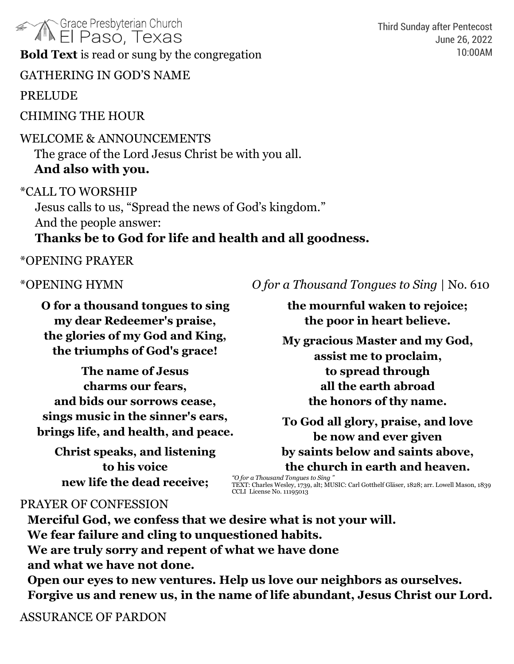**AM Grace Presbyterian Church El Paso, Texas Bold Text** is read or sung by the congregation

GATHERING IN GOD'S NAME

PRELUDE

CHIMING THE HOUR

### WELCOME & ANNOUNCEMENTS

The grace of the Lord Jesus Christ be with you all. **And also with you.**

\*CALL TO WORSHIP

Jesus calls to us, "Spread the news of God's kingdom." And the people answer:

## **Thanks be to God for life and health and all goodness.**

#### \*OPENING PRAYER

**O for a thousand tongues to sing my dear Redeemer's praise, the glories of my God and King, the triumphs of God's grace!**

**The name of Jesus charms our fears, and bids our sorrows cease, sings music in the sinner's ears, brings life, and health, and peace.**

**Christ speaks, and listening to his voice new life the dead receive;**

\*OPENING HYMN *O for a Thousand Tongues to Sing* | No. 610

**the mournful waken to rejoice; the poor in heart believe.**

**My gracious Master and my God, assist me to proclaim, to spread through all the earth abroad the honors of thy name.**

**To God all glory, praise, and love be now and ever given by saints below and saints above, the church in earth and heaven.**

*"O for a Thousand Tongues to Sing "* TEXT: Charles Wesley, 1739, alt; MUSIC: Carl Gotthelf Gläser, 1828; arr. Lowell Mason, 1839 CCLI License No. 11195013

#### PRAYER OF CONFESSION

**Merciful God, we confess that we desire what is not your will. We fear failure and cling to unquestioned habits. We are truly sorry and repent of what we have done and what we have not done.** 

**Open our eyes to new ventures. Help us love our neighbors as ourselves. Forgive us and renew us, in the name of life abundant, Jesus Christ our Lord.**

ASSURANCE OF PARDON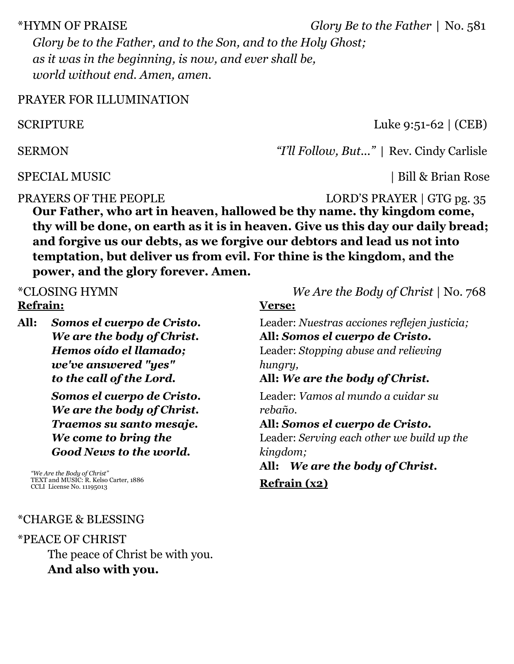\*HYMN OF PRAISE *Glory Be to the Father* | No. 581 *Glory be to the Father, and to the Son, and to the Holy Ghost; as it was in the beginning, is now, and ever shall be, world without end. Amen, amen.*

#### PRAYER FOR ILLUMINATION

SCRIPTURE Luke 9:51-62 | (CEB)

SERMON *"I'll Follow, But..."* | Rev. Cindy Carlisle

SPECIAL MUSIC | Bill & Brian Rose

PRAYERS OF THE PEOPLE LORD'S PRAYER | GTG pg. 35

**Our Father, who art in heaven, hallowed be thy name. thy kingdom come, thy will be done, on earth as it is in heaven. Give us this day our daily bread; and forgive us our debts, as we forgive our debtors and lead us not into temptation, but deliver us from evil. For thine is the kingdom, and the power, and the glory forever. Amen.**

\*CLOSING HYMN *We Are the Body of Christ* | No. 768 **Refrain:**

**All:** *Somos el cuerpo de Cristo. We are the body of Christ. Hemos oído el llamado; we've answered "yes" to the call of the Lord.*

> *Somos el cuerpo de Cristo. We are the body of Christ. Traemos su santo mesaje. We come to bring the Good News to the world.*

*"We Are the Body of Christ"* TEXT and MUSIC: R. Kelso Carter, 1886 CCLI License No. 11195013

**Verse:** Leader: *Nuestras acciones reflejen justicia;* **All:** *Somos el cuerpo de Cristo.* Leader: *Stopping abuse and relieving hungry,* **All:** *We are the body of Christ.* Leader: *Vamos al mundo a cuidar su rebaño.* **All:** *Somos el cuerpo de Cristo.* Leader: *Serving each other we build up the kingdom;* **All:** *We are the body of Christ.*

**Refrain (x2)**

#### \*CHARGE & BLESSING

\*PEACE OF CHRIST The peace of Christ be with you. **And also with you.**